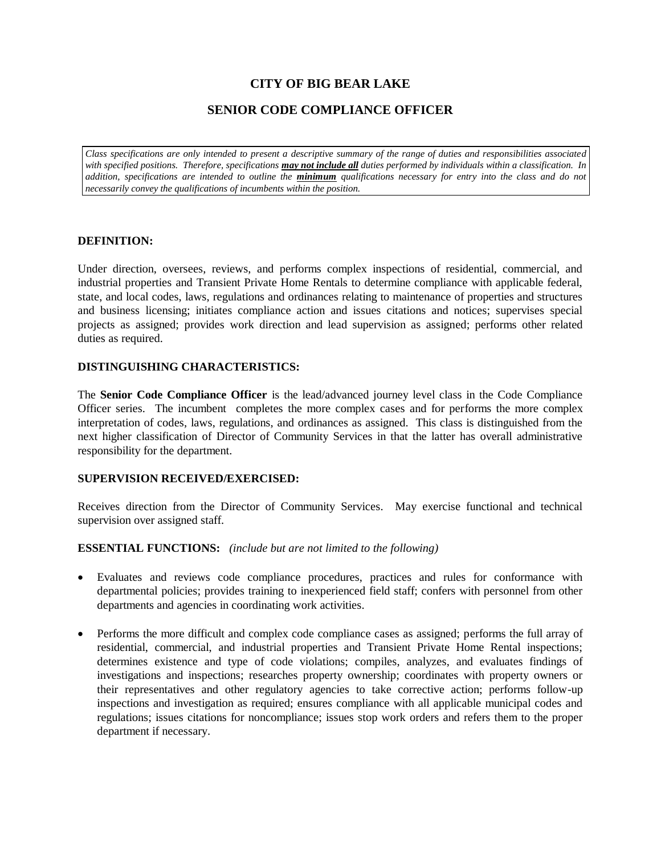### **CITY OF BIG BEAR LAKE**

### **SENIOR CODE COMPLIANCE OFFICER**

*Class specifications are only intended to present a descriptive summary of the range of duties and responsibilities associated with specified positions. Therefore, specifications may not include all duties performed by individuals within a classification. In addition, specifications are intended to outline the minimum qualifications necessary for entry into the class and do not necessarily convey the qualifications of incumbents within the position.*

### **DEFINITION:**

Under direction, oversees, reviews, and performs complex inspections of residential, commercial, and industrial properties and Transient Private Home Rentals to determine compliance with applicable federal, state, and local codes, laws, regulations and ordinances relating to maintenance of properties and structures and business licensing; initiates compliance action and issues citations and notices; supervises special projects as assigned; provides work direction and lead supervision as assigned; performs other related duties as required.

### **DISTINGUISHING CHARACTERISTICS:**

The **Senior Code Compliance Officer** is the lead/advanced journey level class in the Code Compliance Officer series. The incumbent completes the more complex cases and for performs the more complex interpretation of codes, laws, regulations, and ordinances as assigned. This class is distinguished from the next higher classification of Director of Community Services in that the latter has overall administrative responsibility for the department.

### **SUPERVISION RECEIVED/EXERCISED:**

Receives direction from the Director of Community Services. May exercise functional and technical supervision over assigned staff.

### **ESSENTIAL FUNCTIONS:** *(include but are not limited to the following)*

- Evaluates and reviews code compliance procedures, practices and rules for conformance with departmental policies; provides training to inexperienced field staff; confers with personnel from other departments and agencies in coordinating work activities.
- Performs the more difficult and complex code compliance cases as assigned; performs the full array of residential, commercial, and industrial properties and Transient Private Home Rental inspections; determines existence and type of code violations; compiles, analyzes, and evaluates findings of investigations and inspections; researches property ownership; coordinates with property owners or their representatives and other regulatory agencies to take corrective action; performs follow-up inspections and investigation as required; ensures compliance with all applicable municipal codes and regulations; issues citations for noncompliance; issues stop work orders and refers them to the proper department if necessary.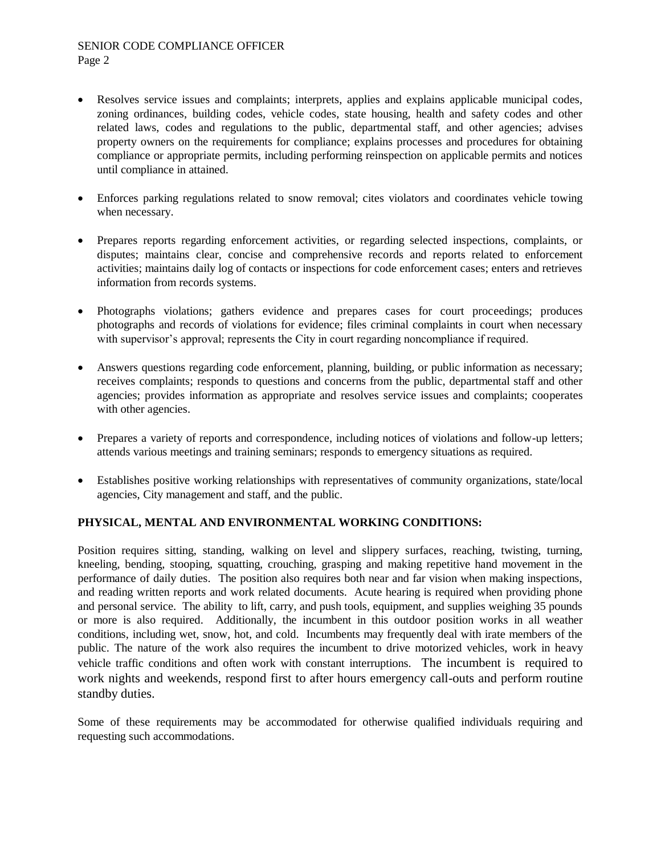# SENIOR CODE COMPLIANCE OFFICER

Page 2

- Resolves service issues and complaints; interprets, applies and explains applicable municipal codes, zoning ordinances, building codes, vehicle codes, state housing, health and safety codes and other related laws, codes and regulations to the public, departmental staff, and other agencies; advises property owners on the requirements for compliance; explains processes and procedures for obtaining compliance or appropriate permits, including performing reinspection on applicable permits and notices until compliance in attained.
- Enforces parking regulations related to snow removal; cites violators and coordinates vehicle towing when necessary.
- Prepares reports regarding enforcement activities, or regarding selected inspections, complaints, or disputes; maintains clear, concise and comprehensive records and reports related to enforcement activities; maintains daily log of contacts or inspections for code enforcement cases; enters and retrieves information from records systems.
- Photographs violations; gathers evidence and prepares cases for court proceedings; produces photographs and records of violations for evidence; files criminal complaints in court when necessary with supervisor's approval; represents the City in court regarding noncompliance if required.
- Answers questions regarding code enforcement, planning, building, or public information as necessary; receives complaints; responds to questions and concerns from the public, departmental staff and other agencies; provides information as appropriate and resolves service issues and complaints; cooperates with other agencies.
- Prepares a variety of reports and correspondence, including notices of violations and follow-up letters; attends various meetings and training seminars; responds to emergency situations as required.
- Establishes positive working relationships with representatives of community organizations, state/local agencies, City management and staff, and the public.

### **PHYSICAL, MENTAL AND ENVIRONMENTAL WORKING CONDITIONS:**

Position requires sitting, standing, walking on level and slippery surfaces, reaching, twisting, turning, kneeling, bending, stooping, squatting, crouching, grasping and making repetitive hand movement in the performance of daily duties. The position also requires both near and far vision when making inspections, and reading written reports and work related documents. Acute hearing is required when providing phone and personal service. The ability to lift, carry, and push tools, equipment, and supplies weighing 35 pounds or more is also required. Additionally, the incumbent in this outdoor position works in all weather conditions, including wet, snow, hot, and cold. Incumbents may frequently deal with irate members of the public. The nature of the work also requires the incumbent to drive motorized vehicles, work in heavy vehicle traffic conditions and often work with constant interruptions. The incumbent is required to work nights and weekends, respond first to after hours emergency call-outs and perform routine standby duties.

Some of these requirements may be accommodated for otherwise qualified individuals requiring and requesting such accommodations.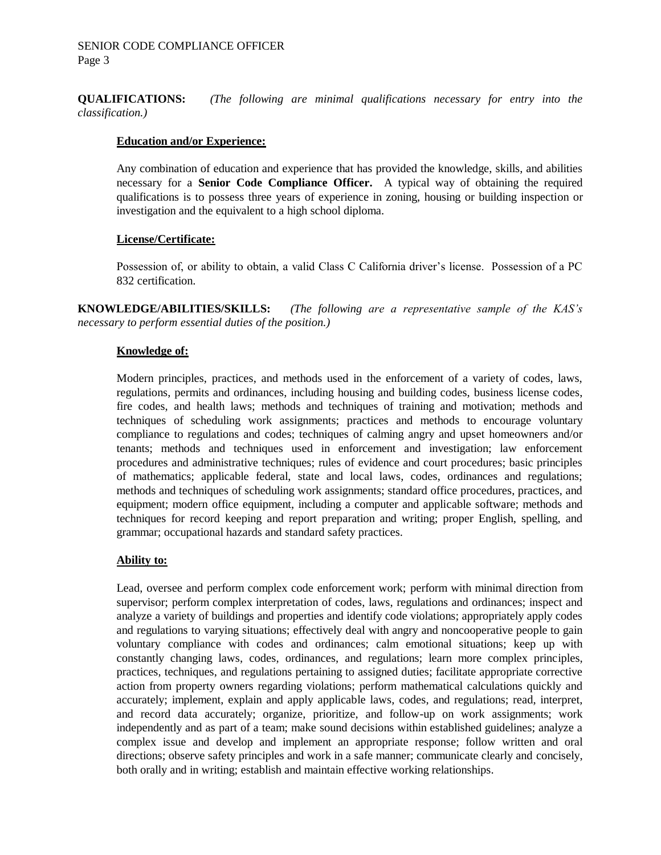**QUALIFICATIONS:** *(The following are minimal qualifications necessary for entry into the classification.)*

### **Education and/or Experience:**

Any combination of education and experience that has provided the knowledge, skills, and abilities necessary for a **Senior Code Compliance Officer.** A typical way of obtaining the required qualifications is to possess three years of experience in zoning, housing or building inspection or investigation and the equivalent to a high school diploma.

### **License/Certificate:**

Possession of, or ability to obtain, a valid Class C California driver's license. Possession of a PC 832 certification.

**KNOWLEDGE/ABILITIES/SKILLS:** *(The following are a representative sample of the KAS's necessary to perform essential duties of the position.)*

### **Knowledge of:**

Modern principles, practices, and methods used in the enforcement of a variety of codes, laws, regulations, permits and ordinances, including housing and building codes, business license codes, fire codes, and health laws; methods and techniques of training and motivation; methods and techniques of scheduling work assignments; practices and methods to encourage voluntary compliance to regulations and codes; techniques of calming angry and upset homeowners and/or tenants; methods and techniques used in enforcement and investigation; law enforcement procedures and administrative techniques; rules of evidence and court procedures; basic principles of mathematics; applicable federal, state and local laws, codes, ordinances and regulations; methods and techniques of scheduling work assignments; standard office procedures, practices, and equipment; modern office equipment, including a computer and applicable software; methods and techniques for record keeping and report preparation and writing; proper English, spelling, and grammar; occupational hazards and standard safety practices.

### **Ability to:**

Lead, oversee and perform complex code enforcement work; perform with minimal direction from supervisor; perform complex interpretation of codes, laws, regulations and ordinances; inspect and analyze a variety of buildings and properties and identify code violations; appropriately apply codes and regulations to varying situations; effectively deal with angry and noncooperative people to gain voluntary compliance with codes and ordinances; calm emotional situations; keep up with constantly changing laws, codes, ordinances, and regulations; learn more complex principles, practices, techniques, and regulations pertaining to assigned duties; facilitate appropriate corrective action from property owners regarding violations; perform mathematical calculations quickly and accurately; implement, explain and apply applicable laws, codes, and regulations; read, interpret, and record data accurately; organize, prioritize, and follow-up on work assignments; work independently and as part of a team; make sound decisions within established guidelines; analyze a complex issue and develop and implement an appropriate response; follow written and oral directions; observe safety principles and work in a safe manner; communicate clearly and concisely, both orally and in writing; establish and maintain effective working relationships.